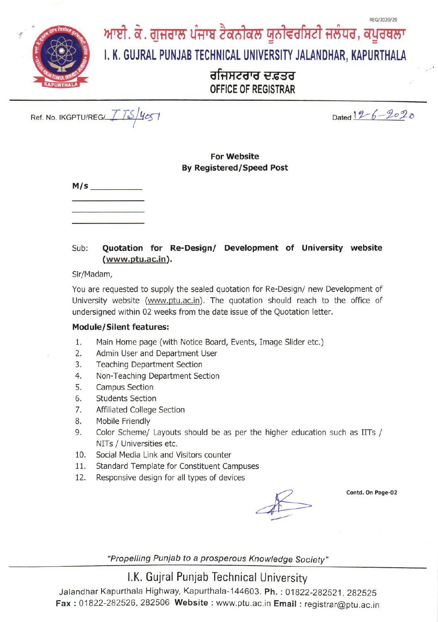

# ਆਈ. ਕੇ. ਗੁਜਰਾਲ ਪੰਜਾਬ ਟੈਕਨੀਕਲ ਯੂਨੀਵਰਸਿਟੀ ਜਲੰਧਰ, ਕਪੂਰਥਲਾ

# I. K. GUJRAL PUNJAB TECHNICAL UNIVERSITY JALANDHAR, KAPURTHALA

# ਰਜਿਸਟਰਾਰ ਦਫ਼ਤਰ OFFICE OF REGISTRAR

Ref. No. IKGPTU/REG/ $\frac{1}{2}$  /  $\frac{1}{2}$  /  $\frac{1}{2}$  /  $\frac{1}{2}$ 

 $Dated 12 - 6 - 2020$ 

#### For website **By Registered/Speed Post**

| M/s |  |  |  |
|-----|--|--|--|
|     |  |  |  |

### Sub: Quotation for Re-Design/ Development of University website (www.ptu.ac.in).

Sir/Madam,

You are requested to supply the sealed quotation for Re-Design/ new Development of University website (www.ptu.ac.in). The quotation should reach to the office of undersigned within 02 weeks from the date issue of the Quotation letter.

#### Module/Silent features:

- 1. Main Home page (with Notice Board, Events, Image Slider etc,)
- 2. Admin User and Department User
- 3. Teaching Department Section
- 4. Non-Teaching Department Section
- 5. Campus Section
- 6. Students Section
- 7. Affiliated College Section
- 8. Mobile Friendly
- 9. Color Scheme/ Layouts should be as per the higher education such as IITS / NITs / Universities etc.
- 10. Social Media Link and Visitors counter
- 11. Standard Template for Constituent Campuses
- 12. Responsive design for all types of devices

Contd. On Page-02

"Propelling Punjab to a prosperous Knowledge Society"

## LK. Gujral Punjab Technical University

Jalandhar Kapurthala Highway, Kapurthala-144603. Ph.: 01822-282521, 282525 Fax : 01822-282526, 282506 Website : www.ptu.ac.in Email : registrar@ptu.ac.in